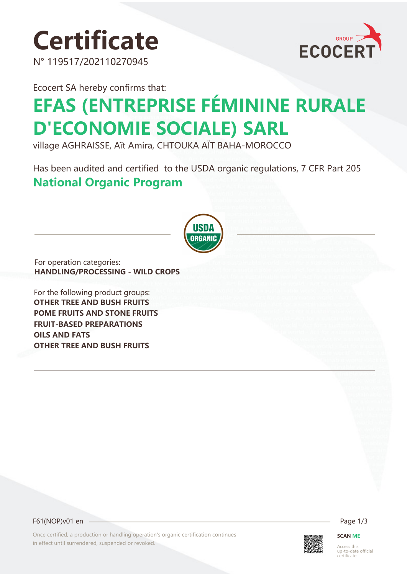# **Certificate**

N° 119517/202110270945



Ecocert SA hereby confirms that:

## **EFAS (ENTREPRISE FÉMININE RURALE D'ECONOMIE SOCIALE) SARL**

village AGHRAISSE, Aït Amira, CHTOUKA AÏT BAHA-MOROCCO

Has been audited and certified to the USDA organic regulations, 7 CFR Part 205 **National Organic Program** 



For operation categories: **HANDLING/PROCESSING - WILD CROPS**

For the following product groups: **OTHER TREE AND BUSH FRUITS POME FRUITS AND STONE FRUITS FRUIT-BASED PREPARATIONS OILS AND FATS OTHER TREE AND BUSH FRUITS**

F61(NOP)v01 en Page 1/3

Once certified, a production or handling operation's organic certification continues in effect until surrendered, suspended or revoked.



**SCAN ME**

Access this up-to-date official certificate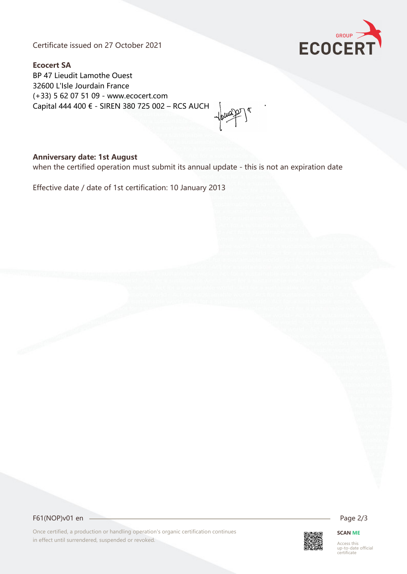Certificate issued on 27 October 2021



**Ecocert SA** BP 47 Lieudit Lamothe Ouest 32600 L'Isle Jourdain France (+33) 5 62 07 51 09 - www.ecocert.com Capital 444 400 € - SIREN 380 725 002 – RCS AUCH

### **Anniversary date: 1st August**

when the certified operation must submit its annual update - this is not an expiration date

Effective date / date of 1st certification: 10 January 2013



Once certified, a production or handling operation's organic certification continues in effect until surrendered, suspended or revoked.



#### **SCAN ME**

Access this up-to-date official certificate